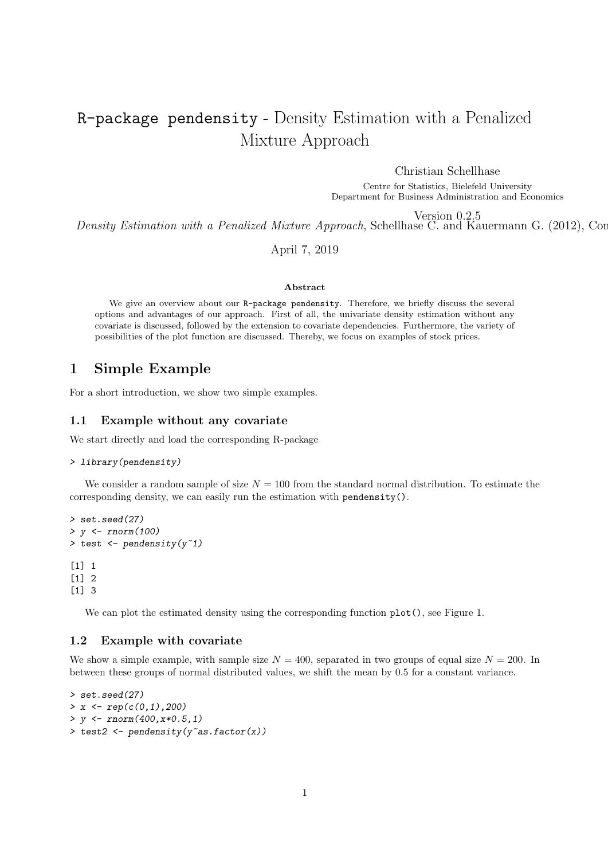# R-package pendensity - Density Estimation with a Penalized Mixture Approach

Christian Schellhase

Centre for Statistics, Bielefeld University Department for Business Administration and Economics

Version 0.2.5

Density Estimation with a Penalized Mixture Approach, Schellhase C. and Kauermann G. (2012), Cor

April 7, 2019

#### Abstract

We give an overview about our R-package pendensity. Therefore, we briefly discuss the several options and advantages of our approach. First of all, the univariate density estimation without any covariate is discussed, followed by the extension to covariate dependencies. Furthermore, the variety of possibilities of the plot function are discussed. Thereby, we focus on examples of stock prices.

# 1 Simple Example

For a short introduction, we show two simple examples.

# 1.1 Example without any covariate

We start directly and load the corresponding R-package

# > library(pendensity)

We consider a random sample of size  $N = 100$  from the standard normal distribution. To estimate the corresponding density, we can easily run the estimation with pendensity().

```
> set.seed(27)
> y <- rnorm(100)
> test <- pendensity(y<sup>~1</sup>)
[1] 1
[1] 2
[1] 3
```
We can plot the estimated density using the corresponding function  $plot()$ , see Figure 1.

#### 1.2 Example with covariate

We show a simple example, with sample size  $N = 400$ , separated in two groups of equal size  $N = 200$ . In between these groups of normal distributed values, we shift the mean by 0.5 for a constant variance.

```
> set.seed(27)
> x \leftarrow rep(c(0,1),200)> y \leftarrow \text{rnorm}(400, x*0.5, 1)> test2 <- pendensity(y<sup>z</sup>as.factor(x))
```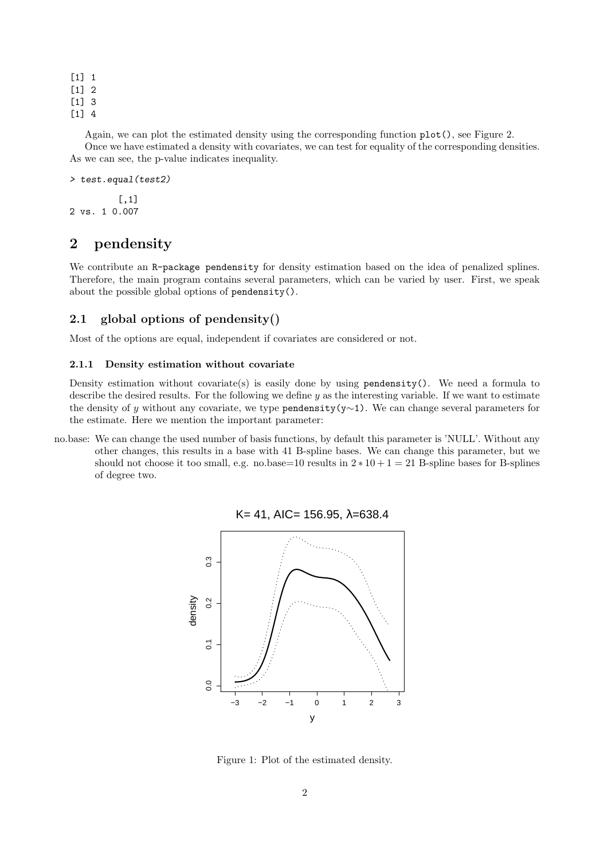$\lceil 1 \rceil$  1 [1] 2

[1] 3

```
[1] 4
```
Again, we can plot the estimated density using the corresponding function plot(), see Figure 2.

Once we have estimated a density with covariates, we can test for equality of the corresponding densities. As we can see, the p-value indicates inequality.

```
> test.equal(test2)
```
[,1] 2 vs. 1 0.007

# 2 pendensity

We contribute an R-package pendensity for density estimation based on the idea of penalized splines. Therefore, the main program contains several parameters, which can be varied by user. First, we speak about the possible global options of pendensity().

# 2.1 global options of pendensity()

Most of the options are equal, independent if covariates are considered or not.

#### 2.1.1 Density estimation without covariate

Density estimation without covariate(s) is easily done by using pendensity(). We need a formula to describe the desired results. For the following we define y as the interesting variable. If we want to estimate the density of y without any covariate, we type pendensity(y∼1). We can change several parameters for the estimate. Here we mention the important parameter:

no.base: We can change the used number of basis functions, by default this parameter is 'NULL'. Without any other changes, this results in a base with 41 B-spline bases. We can change this parameter, but we should not choose it too small, e.g. no.base=10 results in  $2 * 10 + 1 = 21$  B-spline bases for B-splines of degree two.



 $K = 41$ , AIC= 156.95,  $λ = 638.4$ 

Figure 1: Plot of the estimated density.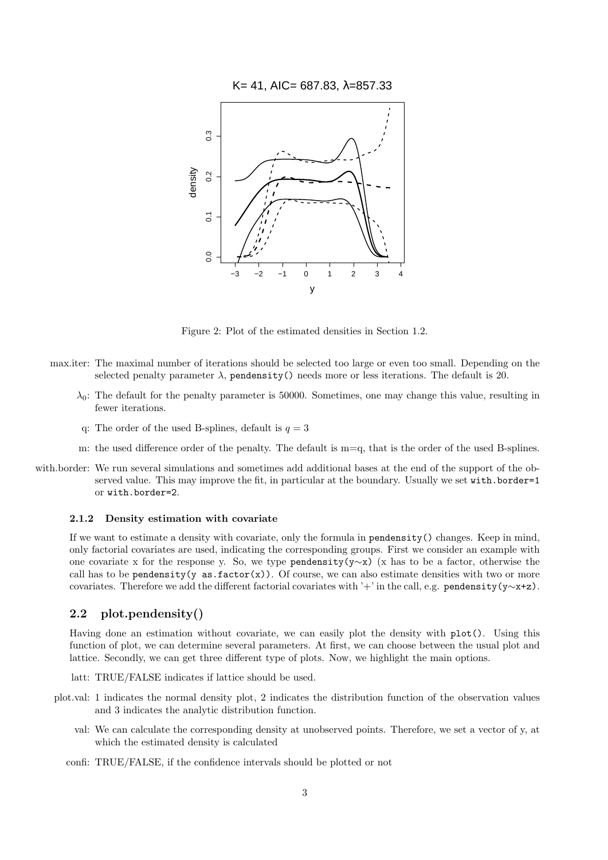



Figure 2: Plot of the estimated densities in Section 1.2.

- max.iter: The maximal number of iterations should be selected too large or even too small. Depending on the selected penalty parameter  $\lambda$ , pendensity() needs more or less iterations. The default is 20.
	- $\lambda_0$ : The default for the penalty parameter is 50000. Sometimes, one may change this value, resulting in fewer iterations.
	- q: The order of the used B-splines, default is  $q = 3$
	- m: the used difference order of the penalty. The default is m=q, that is the order of the used B-splines.
- with.border: We run several simulations and sometimes add additional bases at the end of the support of the observed value. This may improve the fit, in particular at the boundary. Usually we set with.border=1 or with.border=2.

#### 2.1.2 Density estimation with covariate

If we want to estimate a density with covariate, only the formula in pendensity() changes. Keep in mind, only factorial covariates are used, indicating the corresponding groups. First we consider an example with one covariate x for the response y. So, we type pendensity(y∼x) (x has to be a factor, otherwise the call has to be pendensity(y as. factor(x)). Of course, we can also estimate densities with two or more covariates. Therefore we add the different factorial covariates with '+' in the call, e.g. pendensity(y∼x+z).

#### 2.2 plot.pendensity()

Having done an estimation without covariate, we can easily plot the density with plot(). Using this function of plot, we can determine several parameters. At first, we can choose between the usual plot and lattice. Secondly, we can get three different type of plots. Now, we highlight the main options.

latt: TRUE/FALSE indicates if lattice should be used.

- plot.val: 1 indicates the normal density plot, 2 indicates the distribution function of the observation values and 3 indicates the analytic distribution function.
	- val: We can calculate the corresponding density at unobserved points. Therefore, we set a vector of y, at which the estimated density is calculated
	- confi: TRUE/FALSE, if the confidence intervals should be plotted or not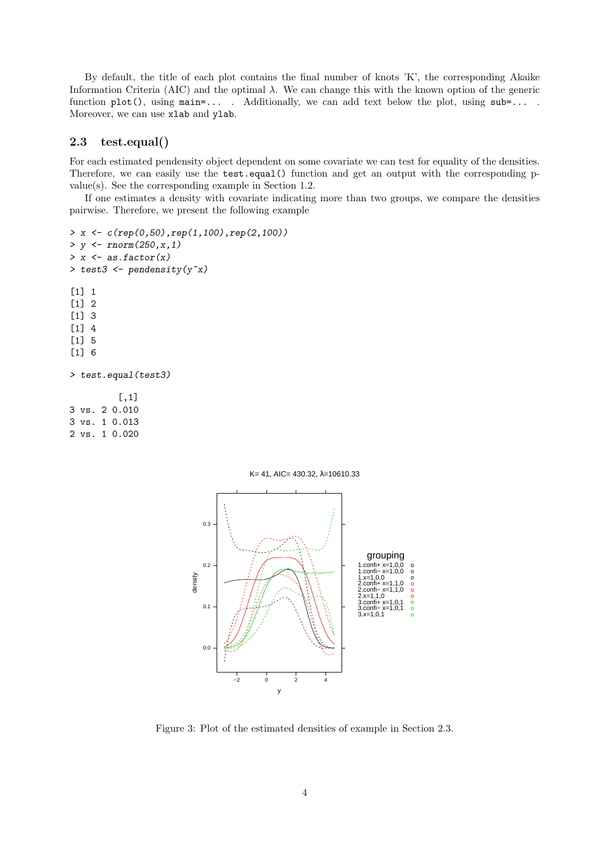By default, the title of each plot contains the final number of knots 'K', the corresponding Akaike Information Criteria (AIC) and the optimal  $\lambda$ . We can change this with the known option of the generic function plot(), using main=... . Additionally, we can add text below the plot, using sub=... . Moreover, we can use xlab and ylab.

# 2.3 test.equal()

For each estimated pendensity object dependent on some covariate we can test for equality of the densities. Therefore, we can easily use the **test.equal** () function and get an output with the corresponding pvalue(s). See the corresponding example in Section 1.2.

If one estimates a density with covariate indicating more than two groups, we compare the densities pairwise. Therefore, we present the following example

> x <- c(rep(0,50),rep(1,100),rep(2,100))  $> y < -rnorm(250, x, 1)$  $>$  x  $\leftarrow$  as.factor(x) > test3 <- pendensity(y~x) [1] 1 [1] 2 [1] 3 [1] 4

> test.equal(test3)

[,1] 3 vs. 2 0.010 3 vs. 1 0.013 2 vs. 1 0.020

[1] 5 [1] 6



Figure 3: Plot of the estimated densities of example in Section 2.3.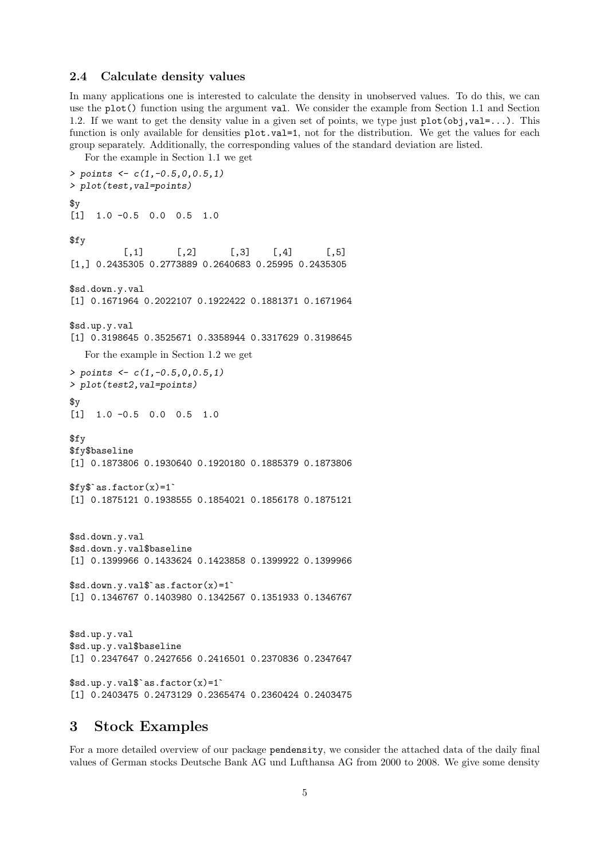# 2.4 Calculate density values

In many applications one is interested to calculate the density in unobserved values. To do this, we can use the plot() function using the argument val. We consider the example from Section 1.1 and Section 1.2. If we want to get the density value in a given set of points, we type just  $plot(obj, val=...)$ . This function is only available for densities  $plot.val=1$ , not for the distribution. We get the values for each group separately. Additionally, the corresponding values of the standard deviation are listed.

For the example in Section 1.1 we get

```
> points <- c(1,-0.5,0,0.5,1)
> plot(test,val=points)
x^{\mathrm{g}}[1] 1.0 -0.5 0.0 0.5 1.0
$fy
           [0,1] [0,2] [0,3] [0,4] [0,5][1,] 0.2435305 0.2773889 0.2640683 0.25995 0.2435305
$sd.down.y.val
[1] 0.1671964 0.2022107 0.1922422 0.1881371 0.1671964
$sd.up.y.val
[1] 0.3198645 0.3525671 0.3358944 0.3317629 0.3198645
   For the example in Section 1.2 we get
> points \leq c(1, -0.5, 0, 0.5, 1)> plot(test2,val=points)
v[1] 1.0 -0.5 0.0 0.5 1.0
$fy
$fy$baseline
[1] 0.1873806 0.1930640 0.1920180 0.1885379 0.1873806
$fy$baseline<br>[1] 0.1873806 0.1930<br>$fy$`as.factor(x)=1`
[1] 0.1875121 0.1938555 0.1854021 0.1856178 0.1875121
$sd.down.y.val
$sd.down.y.val$baseline
[1] 0.1399966 0.1433624 0.1423858 0.1399922 0.1399966
$sd.down.y.val$baseline<br>[1] 0.1399966 0.1433624 0.14238<br>$sd.down.y.val$`as.factor(x)=1`
[1] 0.1346767 0.1403980 0.1342567 0.1351933 0.1346767
$sd.up.y.val
$sd.up.y.val$baseline
[1] 0.2347647 0.2427656 0.2416501 0.2370836 0.2347647
$sd.up.y.val\$`as.factor(x)=1`
[1] 0.2403475 0.2473129 0.2365474 0.2360424 0.2403475
```
# 3 Stock Examples

For a more detailed overview of our package pendensity, we consider the attached data of the daily final values of German stocks Deutsche Bank AG und Lufthansa AG from 2000 to 2008. We give some density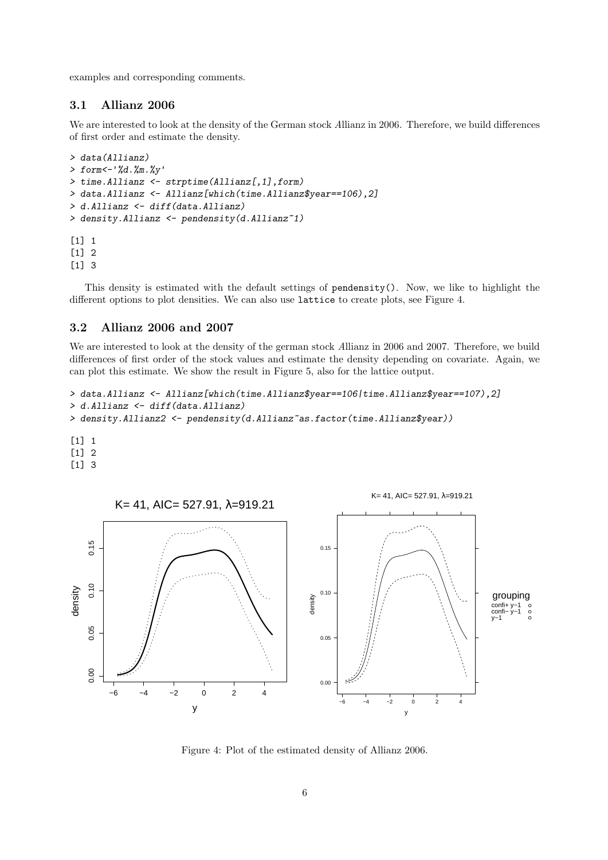examples and corresponding comments.

# 3.1 Allianz 2006

We are interested to look at the density of the German stock Allianz in 2006. Therefore, we build differences of first order and estimate the density.

```
> data(Allianz)
> form<-'%d.%m.%y'
> time.Allianz <- strptime(Allianz[,1],form)
> data.Allianz <- Allianz[which(time.Allianz$year==106),2]
> d.Allianz <- diff(data.Allianz)
> density.Allianz <- pendensity(d.Allianz~1)
[1] 1
[1] 2
[1] 3
```
This density is estimated with the default settings of pendensity(). Now, we like to highlight the different options to plot densities. We can also use lattice to create plots, see Figure 4.

#### 3.2 Allianz 2006 and 2007

We are interested to look at the density of the german stock Allianz in 2006 and 2007. Therefore, we build differences of first order of the stock values and estimate the density depending on covariate. Again, we can plot this estimate. We show the result in Figure 5, also for the lattice output.

```
> data.Allianz <- Allianz[which(time.Allianz$year==106|time.Allianz$year==107),2]
> d.Allianz <- diff(data.Allianz)
> density.Allianz2 <- pendensity(d.Allianz~as.factor(time.Allianz$year))
[1] 1
```

```
[1] 2
```

```
[1] 3
```


Figure 4: Plot of the estimated density of Allianz 2006.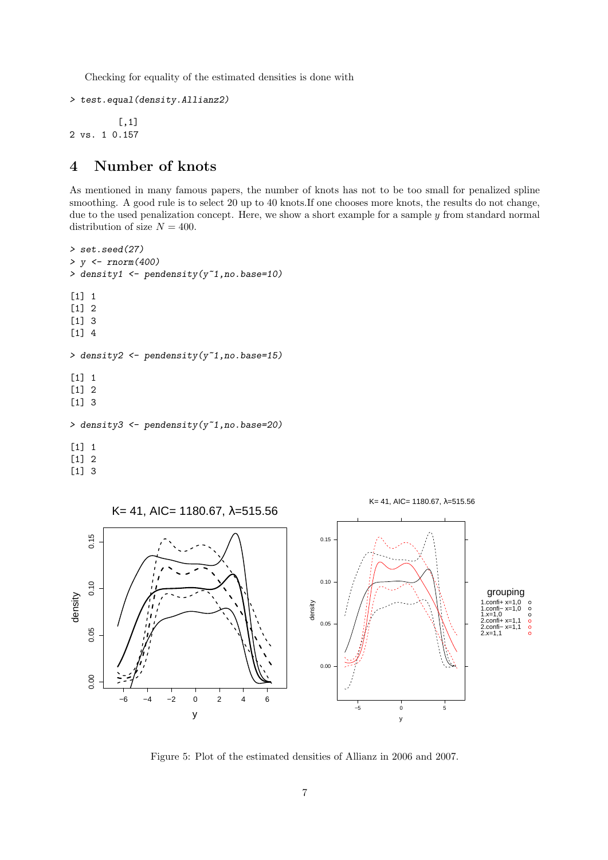Checking for equality of the estimated densities is done with

```
> test.equal(density.Allianz2)
```
[,1] 2 vs. 1 0.157

# 4 Number of knots

As mentioned in many famous papers, the number of knots has not to be too small for penalized spline smoothing. A good rule is to select 20 up to 40 knots. If one chooses more knots, the results do not change, due to the used penalization concept. Here, we show a short example for a sample  $y$  from standard normal distribution of size  $N = 400$ .

```
> set.seed(27)
> y <- rnorm(400)
> density1 <- pendensity(y~1,no.base=10)
[1] 1
[1] 2
[1] 3
[1] 4
> density2 <- pendensity(y<sup>1</sup>, no.base=15)
\lceil 1 \rceil 1
\lceil 1 \rceil 2
[1] 3
> density3 <- pendensity(y~1,no.base=20)
[1] 1
[1] 2
[1] 3
```


Figure 5: Plot of the estimated densities of Allianz in 2006 and 2007.